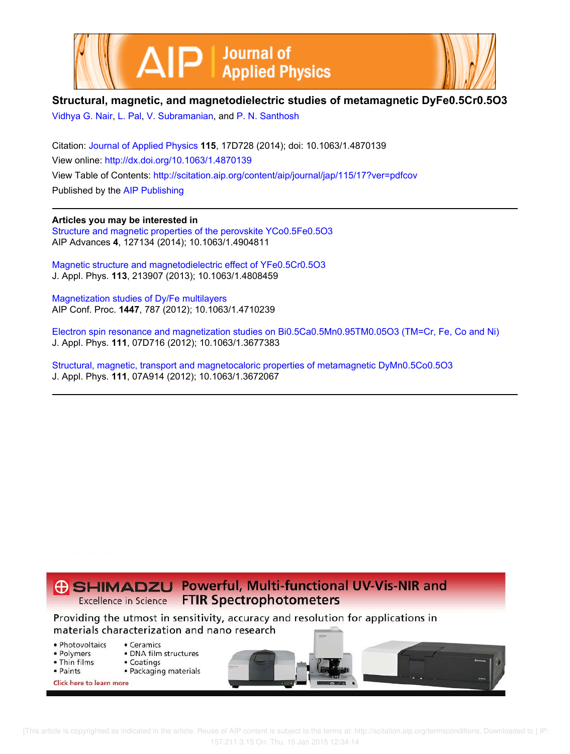



# **Structural, magnetic, and magnetodielectric studies of metamagnetic DyFe0.5Cr0.5O3**

Vidhya G. Nair, L. Pal, V. Subramanian, and P. N. Santhosh

Citation: Journal of Applied Physics **115**, 17D728 (2014); doi: 10.1063/1.4870139 View online: http://dx.doi.org/10.1063/1.4870139 View Table of Contents: http://scitation.aip.org/content/aip/journal/jap/115/17?ver=pdfcov Published by the AIP Publishing

**Articles you may be interested in**

Structure and magnetic properties of the perovskite YCo0.5Fe0.5O3 AIP Advances **4**, 127134 (2014); 10.1063/1.4904811

Magnetic structure and magnetodielectric effect of YFe0.5Cr0.5O3 J. Appl. Phys. **113**, 213907 (2013); 10.1063/1.4808459

Magnetization studies of Dy/Fe multilayers AIP Conf. Proc. **1447**, 787 (2012); 10.1063/1.4710239

Electron spin resonance and magnetization studies on Bi0.5Ca0.5Mn0.95TM0.05O3 (TM=Cr, Fe, Co and Ni) J. Appl. Phys. **111**, 07D716 (2012); 10.1063/1.3677383

Structural, magnetic, transport and magnetocaloric properties of metamagnetic DyMn0.5Co0.5O3 J. Appl. Phys. **111**, 07A914 (2012); 10.1063/1.3672067



- Photovoltaics
- · Polymers · DNA film structures

• Ceramics

• Packaging materials

- Coatings
- Thin films • Paints
- 
- Click here to learn more

 [This article is copyrighted as indicated in the article. Reuse of AIP content is subject to the terms at: http://scitation.aip.org/termsconditions. Downloaded to ] IP: 157.211.3.15 On: Thu, 15 Jan 2015 12:34:14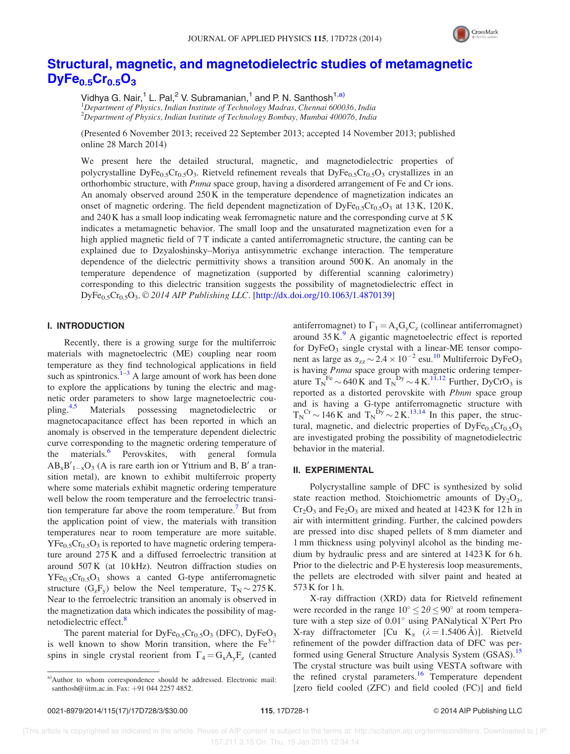

# Structural, magnetic, and magnetodielectric studies of metamagnetic  $DyFe<sub>0.5</sub>Cr<sub>0.5</sub>O<sub>3</sub>$

Vidhya G. Nair,<sup>1</sup> L. Pal,<sup>2</sup> V. Subramanian,<sup>1</sup> and P. N. Santhosh<sup>1,a)</sup>  $1$ Department of Physics, Indian Institute of Technology Madras, Chennai 600036, India <sup>2</sup>Department of Physics, Indian Institute of Technology Bombay, Mumbai 400076, India

(Presented 6 November 2013; received 22 September 2013; accepted 14 November 2013; published online 28 March 2014)

We present here the detailed structural, magnetic, and magnetodielectric properties of polycrystalline DyFe<sub>0.5</sub>Cr<sub>0.5</sub>O<sub>3</sub>. Rietveld refinement reveals that DyFe<sub>0.5</sub>Cr<sub>0.5</sub>O<sub>3</sub> crystallizes in an orthorhombic structure, with *Pnma* space group, having a disordered arrangement of Fe and Cr ions. An anomaly observed around 250 K in the temperature dependence of magnetization indicates an onset of magnetic ordering. The field dependent magnetization of  $DyFe_{0.5}Cr_{0.5}O_3$  at 13 K, 120 K, and 240 K has a small loop indicating weak ferromagnetic nature and the corresponding curve at 5 K indicates a metamagnetic behavior. The small loop and the unsaturated magnetization even for a high applied magnetic field of 7 T indicate a canted antiferromagnetic structure, the canting can be explained due to Dzyaloshinsky–Moriya antisymmetric exchange interaction. The temperature dependence of the dielectric permittivity shows a transition around 500 K. An anomaly in the temperature dependence of magnetization (supported by differential scanning calorimetry) corresponding to this dielectric transition suggests the possibility of magnetodielectric effect in DyFe<sub>0.5</sub>Cr<sub>0.5</sub>O<sub>3</sub>. © 2014 AIP Publishing LLC. [http://dx.doi.org/10.1063/1.4870139]

### I. INTRODUCTION

Recently, there is a growing surge for the multiferroic materials with magnetoelectric (ME) coupling near room temperature as they find technological applications in field such as spintronics. $1-3$  A large amount of work has been done to explore the applications by tuning the electric and magnetic order parameters to show large magnetoelectric coupling.<sup>4,5</sup> Materials possessing magnetodielectric or magnetocapacitance effect has been reported in which an anomaly is observed in the temperature dependent dielectric curve corresponding to the magnetic ordering temperature of the materials.<sup>6</sup> Perovskites, with general formula  $AB_xB'_{1-x}O_3$  (A is rare earth ion or Yttrium and B, B' a transition metal), are known to exhibit multiferroic property where some materials exhibit magnetic ordering temperature well below the room temperature and the ferroelectric transition temperature far above the room temperature.<sup>7</sup> But from the application point of view, the materials with transition temperatures near to room temperature are more suitable.  $YFe_{0.5}Cr_{0.5}O_3$  is reported to have magnetic ordering temperature around 275 K and a diffused ferroelectric transition at around 507 K (at 10 kHz). Neutron diffraction studies on  $YFe_{0.5}Cr_{0.5}O_3$  shows a canted G-type antiferromagnetic structure  $(G_zF_y)$  below the Neel temperature,  $T_N \sim 275$  K. Near to the ferroelectric transition an anomaly is observed in the magnetization data which indicates the possibility of magnetodielectric effect.<sup>8</sup>

The parent material for  $DyFe<sub>0.5</sub>Cr<sub>0.5</sub>O<sub>3</sub>$  (DFC),  $DyFeO<sub>3</sub>$ is well known to show Morin transition, where the  $Fe<sup>3+</sup>$ spins in single crystal reorient from  $\Gamma_4 = G_x A_y F_z$  (canted

antiferromagnet) to  $\Gamma_1 = A_x G_y C_z$  (collinear antiferromagnet) around  $35 K<sup>9</sup>$  A gigantic magnetoelectric effect is reported for  $DyFeO<sub>3</sub>$  single crystal with a linear-ME tensor component as large as  $\alpha_{zz} \sim 2.4 \times 10^{-2}$  esu.<sup>10</sup> Multiferroic DyFeO<sub>3</sub> is having Pnma space group with magnetic ordering temperature  $T_N^{\text{Fe}} \sim 640 \text{ K}$  and  $T_N^{\text{Dy}} \sim 4 \text{ K}^{11,12}$  Further, DyCrO<sub>3</sub> is reported as a distorted perovskite with Pbnm space group and is having a G-type antiferromagnetic structure with  $T_N^{\text{Cr}} \sim 146 \text{ K}$  and  $T_N^{\text{D}y} \sim 2 \text{ K}^{13,14}$  In this paper, the structural, magnetic, and dielectric properties of  $DyFe_{0.5}Cr_{0.5}O_3$ are investigated probing the possibility of magnetodielectric behavior in the material.

### II. EXPERIMENTAL

Polycrystalline sample of DFC is synthesized by solid state reaction method. Stoichiometric amounts of  $Dy_2O_3$ ,  $Cr_2O_3$  and  $Fe_2O_3$  are mixed and heated at 1423 K for 12 h in air with intermittent grinding. Further, the calcined powders are pressed into disc shaped pellets of 8 mm diameter and 1 mm thickness using polyvinyl alcohol as the binding medium by hydraulic press and are sintered at 1423 K for 6 h. Prior to the dielectric and P-E hysteresis loop measurements, the pellets are electroded with silver paint and heated at 573 K for 1 h.

X-ray diffraction (XRD) data for Rietveld refinement were recorded in the range  $10^{\circ} \le 2\theta \le 90^{\circ}$  at room temperature with a step size of  $0.01^\circ$  using PANalytical X'Pert Pro X-ray diffractometer [Cu K<sub>a</sub> ( $\lambda = 1.5406 \text{ Å}$ )]. Rietveld refinement of the powder diffraction data of DFC was performed using General Structure Analysis System (GSAS).<sup>15</sup> The crystal structure was built using VESTA software with the refined crystal parameters.<sup>16</sup> Temperature dependent [zero field cooled (ZFC) and field cooled (FC)] and field

a)Author to whom correspondence should be addressed. Electronic mail: santhosh@iitm.ac.in. Fax: +91 044 2257 4852.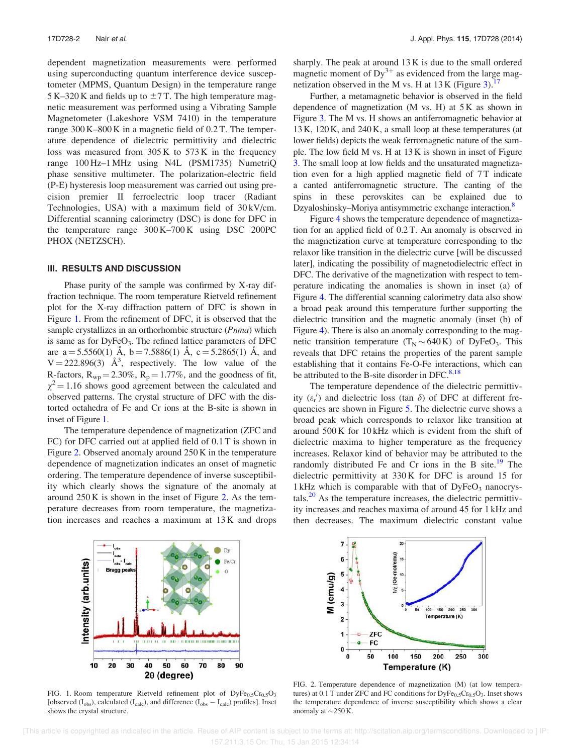dependent magnetization measurements were performed using superconducting quantum interference device susceptometer (MPMS, Quantum Design) in the temperature range 5 K–320 K and fields up to  $\pm$ 7 T. The high temperature magnetic measurement was performed using a Vibrating Sample Magnetometer (Lakeshore VSM 7410) in the temperature range 300 K–800 K in a magnetic field of 0.2 T. The temperature dependence of dielectric permittivity and dielectric loss was measured from 305 K to 573 K in the frequency range 100 Hz–1 MHz using N4L (PSM1735) NumetriQ phase sensitive multimeter. The polarization-electric field (P-E) hysteresis loop measurement was carried out using precision premier II ferroelectric loop tracer (Radiant Technologies, USA) with a maximum field of 30 kV/cm. Differential scanning calorimetry (DSC) is done for DFC in the temperature range 300 K–700 K using DSC 200PC PHOX (NETZSCH).

#### III. RESULTS AND DISCUSSION

Phase purity of the sample was confirmed by X-ray diffraction technique. The room temperature Rietveld refinement plot for the X-ray diffraction pattern of DFC is shown in Figure 1. From the refinement of DFC, it is observed that the sample crystallizes in an orthorhombic structure (Pnma) which is same as for DyFeO<sub>3</sub>. The refined lattice parameters of DFC are  $a = 5.5560(1)$  Å,  $b = 7.5886(1)$  Å,  $c = 5.2865(1)$  Å, and  $V = 222.896(3)$   $\AA^3$ , respectively. The low value of the R-factors,  $R_{wp} = 2.30\%$ ,  $R_p = 1.77\%$ , and the goodness of fit,  $\chi^2$  = 1.16 shows good agreement between the calculated and observed patterns. The crystal structure of DFC with the distorted octahedra of Fe and Cr ions at the B-site is shown in inset of Figure 1.

The temperature dependence of magnetization (ZFC and FC) for DFC carried out at applied field of 0.1 T is shown in Figure 2. Observed anomaly around 250 K in the temperature dependence of magnetization indicates an onset of magnetic ordering. The temperature dependence of inverse susceptibility which clearly shows the signature of the anomaly at around 250 K is shown in the inset of Figure 2. As the temperature decreases from room temperature, the magnetization increases and reaches a maximum at 13 K and drops sharply. The peak at around 13 K is due to the small ordered magnetic moment of  $Dy^{3+}$  as evidenced from the large magnetization observed in the M vs. H at  $13 \text{ K}$  (Figure 3).<sup>17</sup>

Further, a metamagnetic behavior is observed in the field dependence of magnetization  $(M \text{ vs. } H)$  at  $5K$  as shown in Figure 3. The M vs. H shows an antiferromagnetic behavior at 13 K, 120 K, and 240 K, a small loop at these temperatures (at lower fields) depicts the weak ferromagnetic nature of the sample. The low field M vs. H at 13 K is shown in inset of Figure 3. The small loop at low fields and the unsaturated magnetization even for a high applied magnetic field of 7T indicate a canted antiferromagnetic structure. The canting of the spins in these perovskites can be explained due to Dzyaloshinsky–Moriya antisymmetric exchange interaction.<sup>8</sup>

Figure 4 shows the temperature dependence of magnetization for an applied field of 0.2 T. An anomaly is observed in the magnetization curve at temperature corresponding to the relaxor like transition in the dielectric curve [will be discussed later], indicating the possibility of magnetodielectric effect in DFC. The derivative of the magnetization with respect to temperature indicating the anomalies is shown in inset (a) of Figure 4. The differential scanning calorimetry data also show a broad peak around this temperature further supporting the dielectric transition and the magnetic anomaly (inset (b) of Figure 4). There is also an anomaly corresponding to the magnetic transition temperature  $(T_N \sim 640 \text{ K})$  of DyFeO<sub>3</sub>. This reveals that DFC retains the properties of the parent sample establishing that it contains Fe-O-Fe interactions, which can be attributed to the B-site disorder in DFC. $8,18$ 

The temperature dependence of the dielectric permittivity  $(\varepsilon_r')$  and dielectric loss (tan  $\delta$ ) of DFC at different frequencies are shown in Figure 5. The dielectric curve shows a broad peak which corresponds to relaxor like transition at around 500 K for 10 kHz which is evident from the shift of dielectric maxima to higher temperature as the frequency increases. Relaxor kind of behavior may be attributed to the randomly distributed Fe and Cr ions in the B site. $^{19}$  The dielectric permittivity at 330 K for DFC is around 15 for  $1 \text{ kHz}$  which is comparable with that of DyFeO<sub>3</sub> nanocrystals. $20$  As the temperature increases, the dielectric permittivity increases and reaches maxima of around 45 for 1 kHz and then decreases. The maximum dielectric constant value



FIG. 1. Room temperature Rietveld refinement plot of  $DyFe_{0.5}Cr_{0.5}O_3$ [observed  $(I_{obs})$ , calculated  $(I_{calc})$ , and difference  $(I_{obs} - I_{calc})$  profiles]. Inset shows the crystal structure.



FIG. 2. Temperature dependence of magnetization (M) (at low temperatures) at  $0.1$  T under ZFC and FC conditions for  $\text{DyFe}_{0.5}\text{Cr}_{0.5}\text{O}_3$ . Inset shows the temperature dependence of inverse susceptibility which shows a clear anomaly at  $\sim$ 250 K.